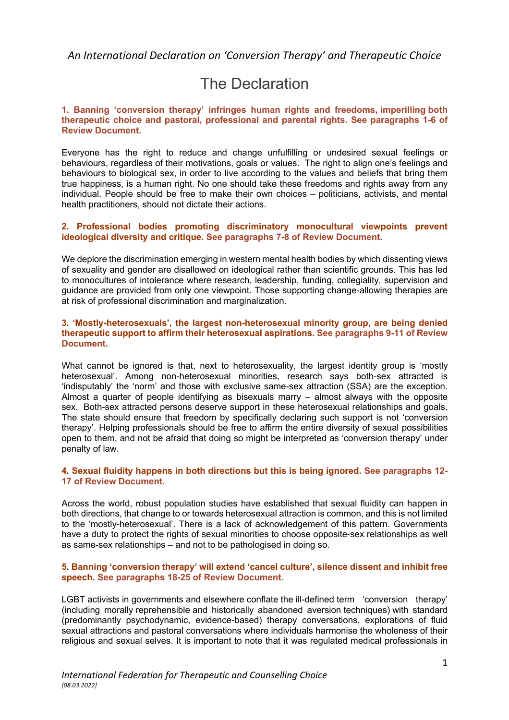## *An International Declaration on 'Conversion Therapy' and Therapeutic Choice*

# The Declaration

## **1. Banning 'conversion therapy' infringes human rights and freedoms, imperilling both therapeutic choice and pastoral, professional and parental rights. See paragraphs 1-6 of Review Document.**

Everyone has the right to reduce and change unfulfilling or undesired sexual feelings or behaviours, regardless of their motivations, goals or values. The right to align one's feelings and behaviours to biological sex, in order to live according to the values and beliefs that bring them true happiness, is a human right. No one should take these freedoms and rights away from any individual. People should be free to make their own choices – politicians, activists, and mental health practitioners, should not dictate their actions.

## **2. Professional bodies promoting discriminatory monocultural viewpoints prevent ideological diversity and critique. See paragraphs 7-8 of Review Document.**

We deplore the discrimination emerging in western mental health bodies by which dissenting views of sexuality and gender are disallowed on ideological rather than scientific grounds. This has led to monocultures of intolerance where research, leadership, funding, collegiality, supervision and guidance are provided from only one viewpoint. Those supporting change-allowing therapies are at risk of professional discrimination and marginalization.

## **3. 'Mostly-heterosexuals', the largest non-heterosexual minority group, are being denied therapeutic support to affirm their heterosexual aspirations. See paragraphs 9-11 of Review Document.**

What cannot be ignored is that, next to heterosexuality, the largest identity group is 'mostly heterosexual'. Among non-heterosexual minorities, research says both-sex attracted is 'indisputably' the 'norm' and those with exclusive same-sex attraction (SSA) are the exception. Almost a quarter of people identifying as bisexuals marry – almost always with the opposite sex. Both-sex attracted persons deserve support in these heterosexual relationships and goals. The state should ensure that freedom by specifically declaring such support is not 'conversion therapy'. Helping professionals should be free to affirm the entire diversity of sexual possibilities open to them, and not be afraid that doing so might be interpreted as 'conversion therapy' under penalty of law.

## **4. Sexual fluidity happens in both directions but this is being ignored. See paragraphs 12- 17 of Review Document.**

Across the world, robust population studies have established that sexual fluidity can happen in both directions, that change to or towards heterosexual attraction is common, and this is not limited to the 'mostly-heterosexual'. There is a lack of acknowledgement of this pattern. Governments have a duty to protect the rights of sexual minorities to choose opposite-sex relationships as well as same-sex relationships – and not to be pathologised in doing so.

## **5. Banning 'conversion therapy' will extend 'cancel culture', silence dissent and inhibit free speech. See paragraphs 18-25 of Review Document.**

LGBT activists in governments and elsewhere conflate the ill-defined term 'conversion therapy' (including morally reprehensible and historically abandoned aversion techniques) with standard (predominantly psychodynamic, evidence-based) therapy conversations, explorations of fluid sexual attractions and pastoral conversations where individuals harmonise the wholeness of their religious and sexual selves. It is important to note that it was regulated medical professionals in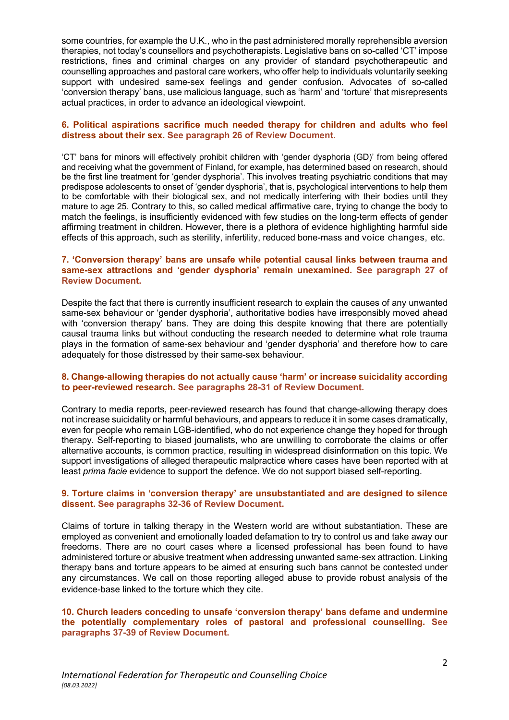some countries, for example the U.K., who in the past administered morally reprehensible aversion therapies, not today's counsellors and psychotherapists. Legislative bans on so-called 'CT' impose restrictions, fines and criminal charges on any provider of standard psychotherapeutic and counselling approaches and pastoral care workers, who offer help to individuals voluntarily seeking support with undesired same-sex feelings and gender confusion. Advocates of so-called 'conversion therapy' bans, use malicious language, such as 'harm' and 'torture' that misrepresents actual practices, in order to advance an ideological viewpoint.

## **6. Political aspirations sacrifice much needed therapy for children and adults who feel distress about their sex. See paragraph 26 of Review Document.**

'CT' bans for minors will effectively prohibit children with 'gender dysphoria (GD)' from being offered and receiving what the government of Finland, for example, has determined based on research, should be the first line treatment for 'gender dysphoria'. This involves treating psychiatric conditions that may predispose adolescents to onset of 'gender dysphoria', that is, psychological interventions to help them to be comfortable with their biological sex, and not medically interfering with their bodies until they mature to age 25. Contrary to this, so called medical affirmative care, trying to change the body to match the feelings, is insufficiently evidenced with few studies on the long-term effects of gender affirming treatment in children. However, there is a plethora of evidence highlighting harmful side effects of this approach, such as sterility, infertility, reduced bone-mass and voice changes, etc.

## **7. 'Conversion therapy' bans are unsafe while potential causal links between trauma and same-sex attractions and 'gender dysphoria' remain unexamined. See paragraph 27 of Review Document.**

Despite the fact that there is currently insufficient research to explain the causes of any unwanted same-sex behaviour or 'gender dysphoria', authoritative bodies have irresponsibly moved ahead with 'conversion therapy' bans. They are doing this despite knowing that there are potentially causal trauma links but without conducting the research needed to determine what role trauma plays in the formation of same-sex behaviour and 'gender dysphoria' and therefore how to care adequately for those distressed by their same-sex behaviour.

## **8. Change-allowing therapies do not actually cause 'harm' or increase suicidality according to peer-reviewed research. See paragraphs 28-31 of Review Document.**

Contrary to media reports, peer-reviewed research has found that change-allowing therapy does not increase suicidality or harmful behaviours, and appears to reduce it in some cases dramatically, even for people who remain LGB-identified, who do not experience change they hoped for through therapy. Self-reporting to biased journalists, who are unwilling to corroborate the claims or offer alternative accounts, is common practice, resulting in widespread disinformation on this topic. We support investigations of alleged therapeutic malpractice where cases have been reported with at least *prima facie* evidence to support the defence. We do not support biased self-reporting.

#### **9. Torture claims in 'conversion therapy' are unsubstantiated and are designed to silence dissent. See paragraphs 32-36 of Review Document.**

Claims of torture in talking therapy in the Western world are without substantiation. These are employed as convenient and emotionally loaded defamation to try to control us and take away our freedoms. There are no court cases where a licensed professional has been found to have administered torture or abusive treatment when addressing unwanted same-sex attraction. Linking therapy bans and torture appears to be aimed at ensuring such bans cannot be contested under any circumstances. We call on those reporting alleged abuse to provide robust analysis of the evidence-base linked to the torture which they cite.

## **10. Church leaders conceding to unsafe 'conversion therapy' bans defame and undermine the potentially complementary roles of pastoral and professional counselling. See paragraphs 37-39 of Review Document.**